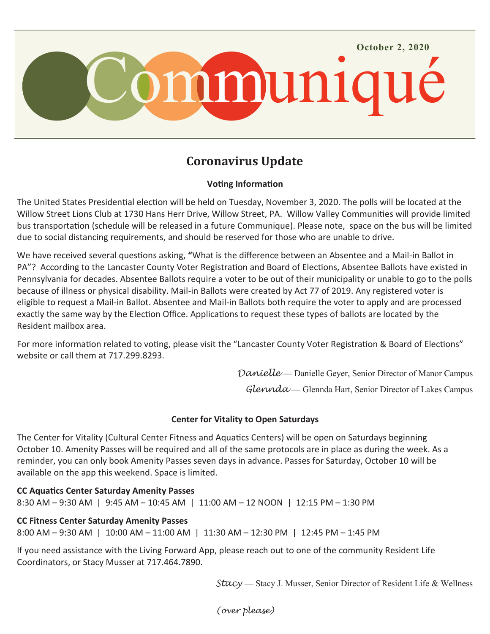

# **Coronavirus Update**

## **Voting Information**

The United States Presidential election will be held on Tuesday, November 3, 2020. The polls will be located at the Willow Street Lions Club at 1730 Hans Herr Drive, Willow Street, PA. Willow Valley Communities will provide limited bus transportation (schedule will be released in a future Communique). Please note, space on the bus will be limited due to social distancing requirements, and should be reserved for those who are unable to drive.

We have received several questions asking, **"**What is the difference between an Absentee and a Mail-in Ballot in PA"? According to the Lancaster County Voter Registration and Board of Elections, Absentee Ballots have existed in Pennsylvania for decades. Absentee Ballots require a voter to be out of their municipality or unable to go to the polls because of illness or physical disability. Mail-in Ballots were created by Act 77 of 2019. Any registered voter is eligible to request a Mail-in Ballot. Absentee and Mail-in Ballots both require the voter to apply and are processed exactly the same way by the Election Office. Applications to request these types of ballots are located by the Resident mailbox area.

For more information related to voting, please visit the "Lancaster County Voter Registration & Board of Elections" website or call them at 717.299.8293.

*Danielle* — Danielle Geyer, Senior Director of Manor Campus

*Glennda* — Glennda Hart, Senior Director of Lakes Campus

## **Center for Vitality to Open Saturdays**

The Center for Vitality (Cultural Center Fitness and Aquatics Centers) will be open on Saturdays beginning October 10. Amenity Passes will be required and all of the same protocols are in place as during the week. As a reminder, you can only book Amenity Passes seven days in advance. Passes for Saturday, October 10 will be available on the app this weekend. Space is limited.

## **CC Aquatics Center Saturday Amenity Passes**

8:30 AM – 9:30 AM | 9:45 AM – 10:45 AM | 11:00 AM – 12 NOON | 12:15 PM – 1:30 PM

## **CC Fitness Center Saturday Amenity Passes**

8:00 AM – 9:30 AM | 10:00 AM – 11:00 AM | 11:30 AM – 12:30 PM | 12:45 PM – 1:45 PM

If you need assistance with the Living Forward App, please reach out to one of the community Resident Life Coordinators, or Stacy Musser at 717.464.7890.

*Stacy* — Stacy J. Musser, Senior Director of Resident Life & Wellness

*(over please)*